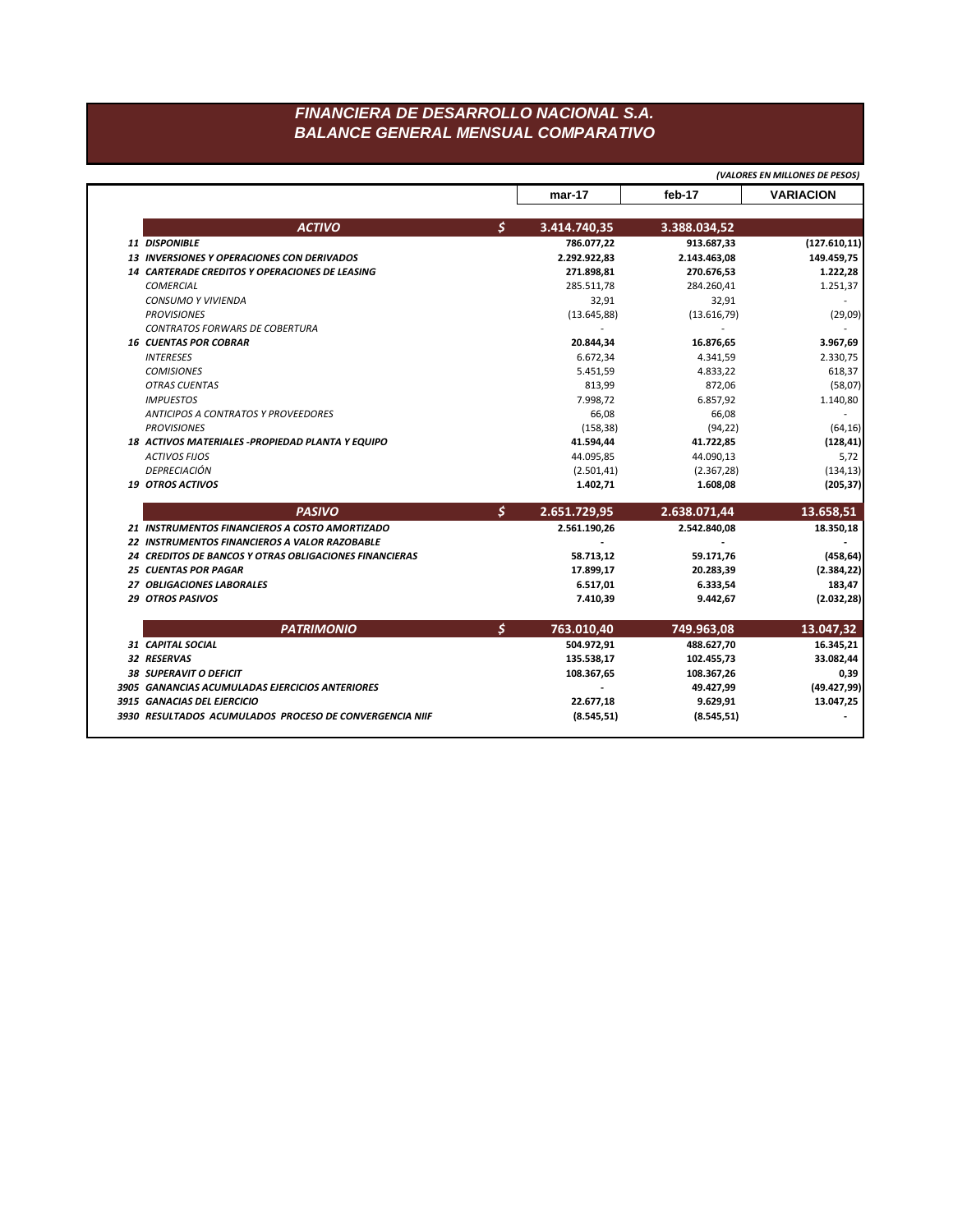## *FINANCIERA DE DESARROLLO NACIONAL S.A. BALANCE GENERAL MENSUAL COMPARATIVO*

|                                                               |                    |              | (VALORES EN MILLONES DE PESOS)          |
|---------------------------------------------------------------|--------------------|--------------|-----------------------------------------|
|                                                               | $mar-17$           | feb-17       | <b>VARIACION</b>                        |
| <b>ACTIVO</b>                                                 | \$<br>3.414.740,35 | 3.388.034,52 |                                         |
| 11 DISPONIBLE                                                 | 786.077,22         | 913.687,33   | (127.610, 11)                           |
| <b>13 INVERSIONES Y OPERACIONES CON DERIVADOS</b>             | 2.292.922,83       | 2.143.463,08 | 149.459,75                              |
| 14 CARTERADE CREDITOS Y OPERACIONES DE LEASING                | 271.898,81         | 270.676,53   | 1.222,28                                |
| <b>COMERCIAL</b>                                              | 285.511,78         | 284.260,41   | 1.251,37                                |
| <b>CONSUMO Y VIVIENDA</b>                                     | 32,91              | 32,91        |                                         |
| <b>PROVISIONES</b>                                            | (13.645, 88)       | (13.616,79)  | (29,09)                                 |
| CONTRATOS FORWARS DE COBERTURA                                |                    |              |                                         |
| <b>16 CUENTAS POR COBRAR</b>                                  | 20.844,34          | 16.876,65    | 3.967,69                                |
| <b>INTERESES</b>                                              | 6.672,34           | 4.341,59     | 2.330,75                                |
| <b>COMISIONES</b>                                             | 5.451,59           | 4.833,22     | 618,37                                  |
| <b>OTRAS CUENTAS</b>                                          | 813,99             | 872,06       | (58,07)                                 |
| <b>IMPUESTOS</b>                                              | 7.998,72           | 6.857,92     | 1.140,80                                |
| <b>ANTICIPOS A CONTRATOS Y PROVEEDORES</b>                    | 66,08              | 66,08        |                                         |
| <b>PROVISIONES</b>                                            | (158, 38)          | (94, 22)     | (64, 16)                                |
| 18 ACTIVOS MATERIALES - PROPIEDAD PLANTA Y EQUIPO             | 41.594,44          | 41.722,85    | (128, 41)                               |
| <b>ACTIVOS FIJOS</b>                                          | 44.095,85          | 44.090,13    | 5,72                                    |
| <b>DEPRECIACIÓN</b>                                           | (2.501, 41)        | (2.367, 28)  | (134, 13)                               |
| 19 OTROS ACTIVOS                                              | 1.402,71           | 1.608,08     | (205, 37)                               |
| <b>PASIVO</b>                                                 | \$<br>2.651.729,95 | 2.638.071,44 | 13.658,51                               |
| 21 INSTRUMENTOS FINANCIEROS A COSTO AMORTIZADO                | 2.561.190,26       | 2.542.840,08 | 18.350,18                               |
| 22 INSTRUMENTOS FINANCIEROS A VALOR RAZOBABLE                 |                    |              |                                         |
| <b>24 CREDITOS DE BANCOS Y OTRAS OBLIGACIONES FINANCIERAS</b> | 58.713,12          | 59.171,76    | (458, 64)                               |
|                                                               |                    |              |                                         |
| <b>25 CUENTAS POR PAGAR</b>                                   | 17.899,17          | 20.283,39    |                                         |
| 27 OBLIGACIONES LABORALES                                     | 6.517,01           | 6.333,54     | (2.384, 22)<br>183,47                   |
| 29 OTROS PASIVOS                                              | 7.410,39           | 9.442,67     |                                         |
| <b>PATRIMONIO</b>                                             | \$<br>763.010,40   | 749.963,08   | 13.047,32                               |
| 31 CAPITAL SOCIAL                                             | 504.972,91         | 488.627,70   | 16.345,21                               |
| 32 RESERVAS                                                   | 135.538,17         | 102.455,73   | 33.082,44                               |
| 38 SUPERAVIT O DEFICIT                                        | 108.367,65         | 108.367,26   | 0,39                                    |
| 3905 GANANCIAS ACUMULADAS EJERCICIOS ANTERIORES               |                    | 49.427,99    |                                         |
| 3915 GANACIAS DEL EJERCICIO                                   | 22.677,18          | 9.629,91     | (2.032, 28)<br>(49.427,99)<br>13.047,25 |